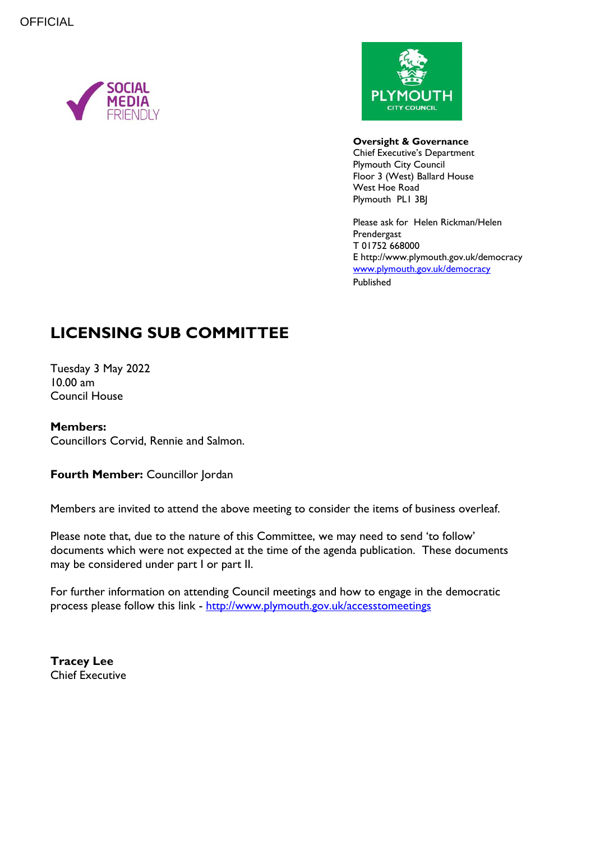



#### **Oversight & Governance**

Chief Executive's Department Plymouth City Council Floor 3 (West) Ballard House West Hoe Road Plymouth PL1 3BJ

Please ask for Helen Rickman/Helen Prendergast T 01752 668000 E http://www.plymouth.gov.uk/democracy [www.plymouth.gov.uk/](http://www.plymouth.gov.uk/)democracy Published

# **LICENSING SUB COMMITTEE**

Tuesday 3 May 2022 10.00 am Council House

#### **Members:**

Councillors Corvid, Rennie and Salmon.

**Fourth Member: Councillor Jordan** 

Members are invited to attend the above meeting to consider the items of business overleaf.

Please note that, due to the nature of this Committee, we may need to send 'to follow' documents which were not expected at the time of the agenda publication. These documents may be considered under part I or part II.

For further information on attending Council meetings and how to engage in the democratic process please follow this link - <http://www.plymouth.gov.uk/accesstomeetings>

**Tracey Lee** Chief Executive